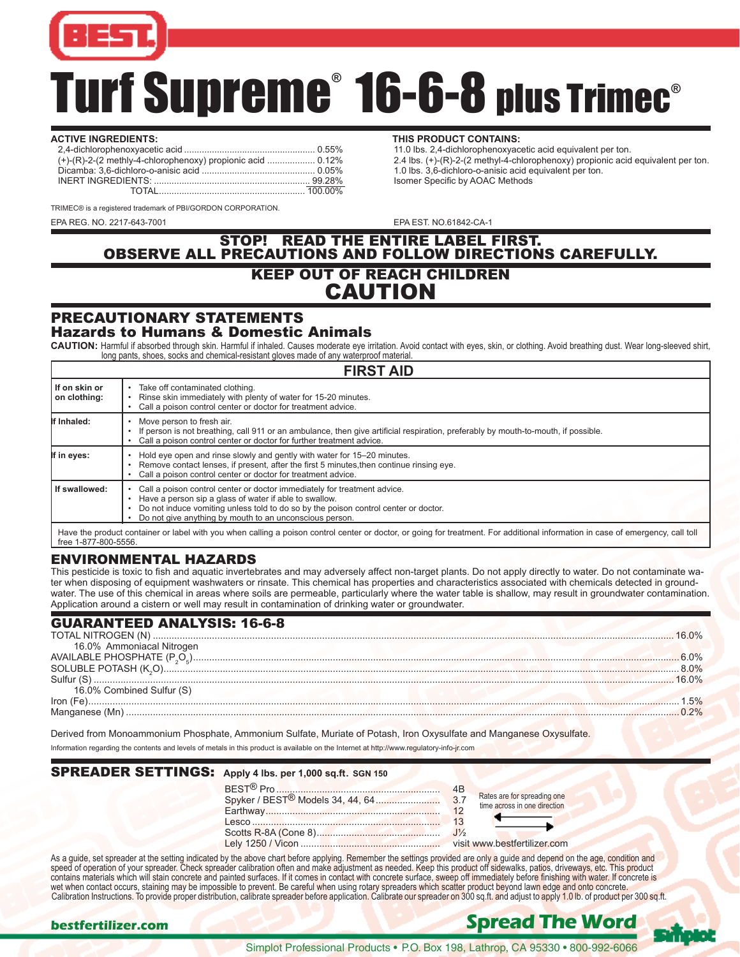

# Turf Supreme® 16-6-8 plus Trimec®

#### **ACTIVE INGREDIENTS: THIS PRODUCT CONTAINS:** 2,4-dichlorophenoxyacetic acid .................................................... 0.55% 11.0 lbs. 2,4-dichlorophenoxyacetic acid equivalent per ton. Dicamba: 3,6-dichloro-o-anisic acid ............................................. 0.05% 1.0 lbs. 3,6-dichloro-o-anisic acid equivalent per ton. INERT INGREDIENTS: .............................................................. 99.28% Isomer Specific by AOAC Methods TOTAL...............

2.4 lbs.  $(+)$ -(R)-2-(2 methyl-4-chlorophenoxy) propionic acid equivalent per ton.<br>1.0 lbs. 3,6-dichloro-o-anisic acid equivalent per ton.

TRIMEC® is a registered trademark of PBI/GORDON CORPORATION.

EPA REG. NO. 2217-643-7001 EPA EST. NO.61842-CA-1

# STOP! READ THE ENTIRE LABEL FIRST. OBSERVE ALL PRECAUTIONS AND FOLLOW DIRECTIONS CAREFULLY. KEEP OUT OF REACH CHILDREN CAUTION

#### PRECAUTIONARY STATEMENTS Hazards to Humans & Domestic Animals

CAUTION: Harmful if absorbed through skin. Harmful if inhaled. Causes moderate eye irritation. Avoid contact with eyes, skin, or clothing. Avoid breathing dust. Wear long-sleeved shirt, long pants, shoes, socks and chemical-resistant gloves made of any waterproof material.

| <b>FIRST AID</b>                |                                                                                                                                                                                                                                                                                      |  |  |  |
|---------------------------------|--------------------------------------------------------------------------------------------------------------------------------------------------------------------------------------------------------------------------------------------------------------------------------------|--|--|--|
| l If on skin or<br>on clothing: | Take off contaminated clothing.<br>Rinse skin immediately with plenty of water for 15-20 minutes.<br>Call a poison control center or doctor for treatment advice.                                                                                                                    |  |  |  |
| If Inhaled:                     | Move person to fresh air.<br>If person is not breathing, call 911 or an ambulance, then give artificial respiration, preferably by mouth-to-mouth, if possible.<br>Call a poison control center or doctor for further treatment advice.                                              |  |  |  |
| If in eyes:                     | Hold eye open and rinse slowly and gently with water for 15–20 minutes.<br>Remove contact lenses, if present, after the first 5 minutes, then continue rinsing eye.<br>Call a poison control center or doctor for treatment advice.                                                  |  |  |  |
| If swallowed:                   | Call a poison control center or doctor immediately for treatment advice.<br>Have a person sip a glass of water if able to swallow.<br>Do not induce vomiting unless told to do so by the poison control center or doctor.<br>Do not give anything by mouth to an unconscious person. |  |  |  |
| $f_{\text{max}}$ 4.077.000 EEEC | Have the product container or label with you when calling a poison control center or doctor, or going for treatment. For additional information in case of emergency, call toll                                                                                                      |  |  |  |

#### free 1-877-800-5556

#### ENVIRONMENTAL HAZARDS

This pesticide is toxic to fish and aquatic invertebrates and may adversely affect non-target plants. Do not apply directly to water. Do not contaminate water when disposing of equipment washwaters or rinsate. This chemical has properties and characteristics associated with chemicals detected in groundwater. The use of this chemical in areas where soils are permeable, particularly where the water table is shallow, may result in groundwater contamination. Application around a cistern or well may result in contamination of drinking water or groundwater.

| <b>GUARANTEED ANALYSIS: 16-6-8</b> |  |
|------------------------------------|--|
|                                    |  |
| 16.0% Ammoniacal Nitrogen          |  |
|                                    |  |
|                                    |  |
| Sulfur (S)                         |  |
| 16.0% Combined Sulfur (S)          |  |
| Iron                               |  |
|                                    |  |
|                                    |  |

Derived from Monoammonium Phosphate, Ammonium Sulfate, Muriate of Potash, Iron Oxysulfate and Manganese Oxysulfate.

Information regarding the contents and levels of metals in this product is available on the Internet at http://www.regulatory-info-jr.com

# SPREADER SETTINGS: **Apply 4 lbs. per 1,000 sq.ft**. **SGN 150**

| 4B |                                                                                                                        |
|----|------------------------------------------------------------------------------------------------------------------------|
|    | Rates are for spreading one<br>time across in one direction                                                            |
| 12 |                                                                                                                        |
| 13 | <u> La Carlo Carlo Carlo Carlo Carlo Carlo Carlo Carlo Carlo Carlo Carlo Carlo Carlo Carlo Carlo Carlo Carlo Carlo</u> |
|    |                                                                                                                        |
|    | visit www.bestfertilizer.com                                                                                           |

As a guide, set spreader at the setting indicated by the above chart before applying. Remember the settings provided are only a guide and depend on the age, condition and speed of operation of your spreader. Check spreader calibration often and make adjustment as needed. Keep this product off sidewalks, patios, driveways, etc. This product contains materials which will stain concrete and painted surfaces. If it comes in contact with concrete surface, sweep off immediately before finishing with water. If concrete is wet when contact occurs, staining may be impossible to prevent. Be careful when using rotary spreaders which scatter product beyond lawn edge and onto concrete. Calibration Instructions. To provide proper distribution, calibrate spreader before application. Calibrate our spreader on 300 sq.ft. and adjust to apply 1.0 lb. of product per 300 sq.ft.

# **bestfertilizer.com Spread The Word**

Simplot Professional Products • P.O. Box 198, Lathrop, CA 95330 • 800-992-6066